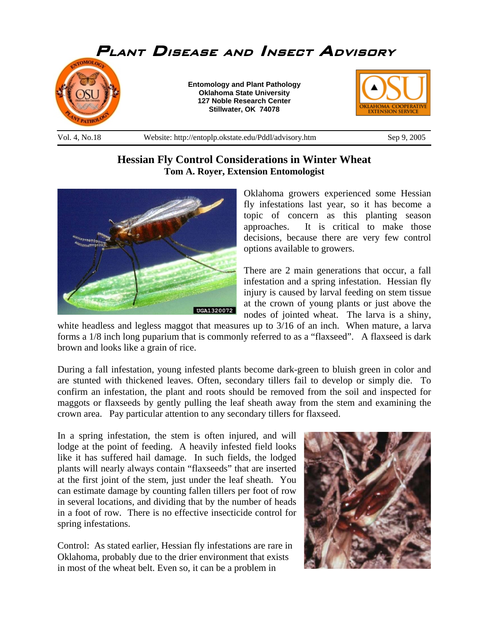

## **Hessian Fly Control Considerations in Winter Wheat Tom A. Royer, Extension Entomologist**



Oklahoma growers experienced some Hessian fly infestations last year, so it has become a topic of concern as this planting season approaches. It is critical to make those decisions, because there are very few control options available to growers.

There are 2 main generations that occur, a fall infestation and a spring infestation. Hessian fly injury is caused by larval feeding on stem tissue at the crown of young plants or just above the nodes of jointed wheat. The larva is a shiny,

white headless and legless maggot that measures up to  $3/16$  of an inch. When mature, a larva forms a 1/8 inch long puparium that is commonly referred to as a "flaxseed". A flaxseed is dark brown and looks like a grain of rice.

During a fall infestation, young infested plants become dark-green to bluish green in color and are stunted with thickened leaves. Often, secondary tillers fail to develop or simply die. To confirm an infestation, the plant and roots should be removed from the soil and inspected for maggots or flaxseeds by gently pulling the leaf sheath away from the stem and examining the crown area. Pay particular attention to any secondary tillers for flaxseed.

In a spring infestation, the stem is often injured, and will lodge at the point of feeding. A heavily infested field looks like it has suffered hail damage. In such fields, the lodged plants will nearly always contain "flaxseeds" that are inserted at the first joint of the stem, just under the leaf sheath. You can estimate damage by counting fallen tillers per foot of row in several locations, and dividing that by the number of heads in a foot of row. There is no effective insecticide control for spring infestations.

Control: As stated earlier, Hessian fly infestations are rare in Oklahoma, probably due to the drier environment that exists in most of the wheat belt. Even so, it can be a problem in